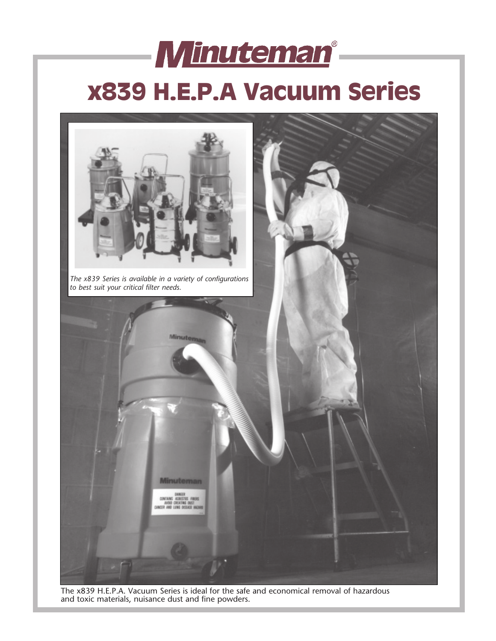# **Minuteman**®  **x839 H.E.P.A Vacuum Series**



The x839 H.E.P.A. Vacuum Series is ideal for the safe and economical removal of hazardous and toxic materials, nuisance dust and fine powders.